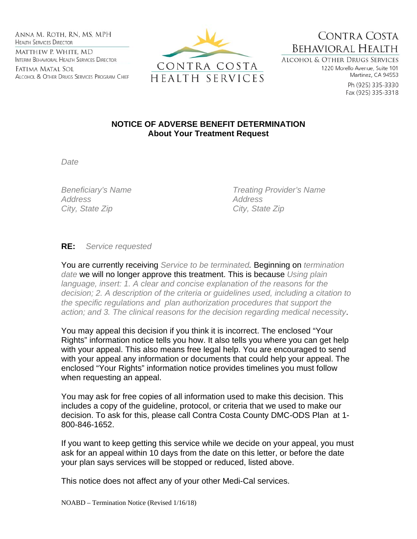Anna M. Roth, RN, MS, MPH **HEALTH SERVICES DIRECTOR** MATTHEW P. WHITE, MD INTERIM BEHAVIORAL HEALTH SERVICES DIRECTOR

Fatima Matal Sol ALCOHOL & OTHER DRUGS SERVICES PROGRAM CHIEF



CONTRA COSTA **BEHAVIORAL HEALTH ALCOHOL & OTHER DRUGS SERVICES** 

1220 Morello Avenue, Suite 101 Martinez, CA 94553

> Ph (925) 335-3330 Fax (925) 335-3318

## **NOTICE OF ADVERSE BENEFIT DETERMINATION About Your Treatment Request**

*Date* 

*Address Address City, State Zip City, State Zip* 

*Beneficiary's Name Treating Provider's Name* 

**RE:** *Service requested*

You are currently receiving *Service to be terminated.* Beginning on *termination date* we will no longer approve this treatment. This is because *Using plain language, insert: 1. A clear and concise explanation of the reasons for the decision; 2. A description of the criteria or guidelines used, including a citation to the specific regulations and plan authorization procedures that support the action; and 3. The clinical reasons for the decision regarding medical necessity*.

You may appeal this decision if you think it is incorrect. The enclosed "Your Rights" information notice tells you how. It also tells you where you can get help with your appeal. This also means free legal help. You are encouraged to send with your appeal any information or documents that could help your appeal. The enclosed "Your Rights" information notice provides timelines you must follow when requesting an appeal.

You may ask for free copies of all information used to make this decision. This includes a copy of the guideline, protocol, or criteria that we used to make our decision. To ask for this, please call Contra Costa County DMC-ODS Plan at 1- 800-846-1652.

If you want to keep getting this service while we decide on your appeal, you must ask for an appeal within 10 days from the date on this letter, or before the date your plan says services will be stopped or reduced, listed above.

This notice does not affect any of your other Medi-Cal services.